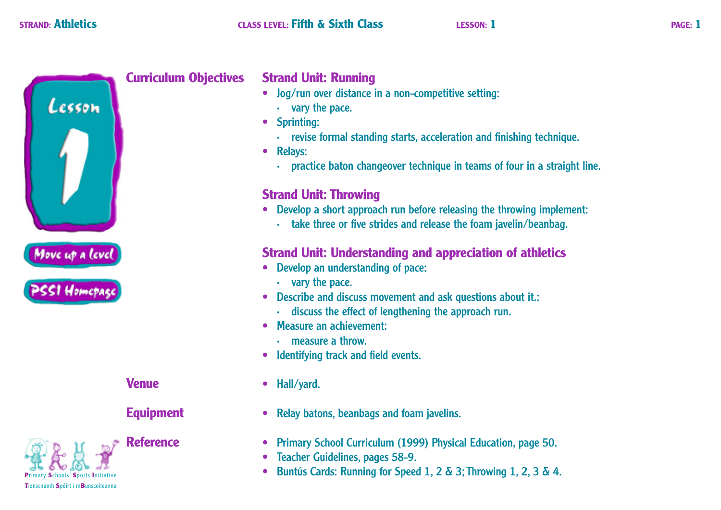

### **Curriculum Objectives**

### **Strand Unit: Running**

- Jog/run over distance in a non-competitive setting:
	- $\cdot$  vary the pace.
- Sprinting:
	- · revise formal standing starts, acceleration and finishing technique.
- Relavs:
	- · practice baton changeover technique in teams of four in a straight line.

### **Strand Unit: Throwing**

- Develop a short approach run before releasing the throwing implement:
	- . take three or five strides and release the foam javelin/beanbag.

### **Strand Unit: Understanding and appreciation of athletics**

- Develop an understanding of pace:
	- $\cdot$  vary the pace.
- Describe and discuss movement and ask questions about it.:
	- · discuss the effect of lengthening the approach run.
- Measure an achievement
	- $\cdot$  measure a throw
- Identifying track and field events.
- · Hall/vard.
- Relay batons, beanbags and foam javelins.
- Primary School Curriculum (1999) Physical Education, page 50.
- Teacher Guidelines, pages 58-9.
- Buntús Cards: Running for Speed 1, 2  $\&$  3; Throwing 1, 2, 3  $\&$  4.

**Venue** 

### **Equipment**

**Reference** 

nh Spóirt i mBunscoileann

PAGE:  $1$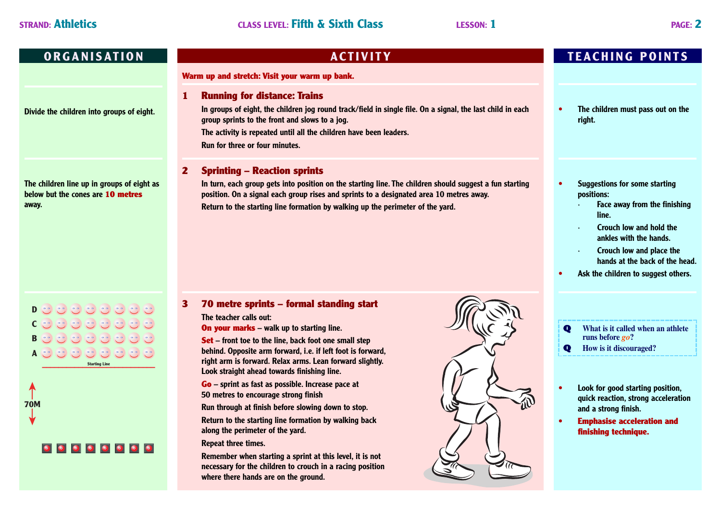**away.**

**C**

**70M**

**Divide the children into groups of eight.**

**The children line up in groups of eight as below but the cones are 10 metres**

**along the perimeter of the yard.**

**where there hands are on the ground.**

**Remember when starting a sprint at this level, it is not necessary for the children to crouch in a racing position**

**Repeat three times.**

- **• Suggestions for some starting positions:**
	- **· Face away from the finishing line.**
	- **· Crouch low and hold the ankles with the hands.**
	- **· Crouch low and place the hands at the back of the head.**
- **• Ask the children to suggest others.**
- **Q What is it called when an athlete runs before** *go***?**
- **Q How is it discouraged?**
- **• Look for good starting position, quick reaction, strong acceleration and a strong finish.**
- **Emphasise acceleration and finishing technique.**

| <b>ORGANISATION</b>                                                  | <b>ACTIVITY</b>                                                                                                                                                                                                                                                                                                                                                                                                                                                                                                                                                            | <b>TEACHING POINTS</b>                                                                                                                                                                                                                               |
|----------------------------------------------------------------------|----------------------------------------------------------------------------------------------------------------------------------------------------------------------------------------------------------------------------------------------------------------------------------------------------------------------------------------------------------------------------------------------------------------------------------------------------------------------------------------------------------------------------------------------------------------------------|------------------------------------------------------------------------------------------------------------------------------------------------------------------------------------------------------------------------------------------------------|
|                                                                      | Warm up and stretch: Visit your warm up bank.                                                                                                                                                                                                                                                                                                                                                                                                                                                                                                                              |                                                                                                                                                                                                                                                      |
| e the children into groups of eight.                                 | <b>Running for distance: Trains</b><br>1<br>In groups of eight, the children jog round track/field in single file. On a signal, the last child in each<br>group sprints to the front and slows to a jog.<br>The activity is repeated until all the children have been leaders.<br>Run for three or four minutes.                                                                                                                                                                                                                                                           | The children must pass out on the<br>right.                                                                                                                                                                                                          |
| hildren line up in groups of eight as<br>but the cones are 10 metres | <b>Sprinting - Reaction sprints</b><br>$\mathbf{2}$<br>In turn, each group gets into position on the starting line. The children should suggest a fun starting<br>position. On a signal each group rises and sprints to a designated area 10 metres away.<br>Return to the starting line formation by walking up the perimeter of the yard.                                                                                                                                                                                                                                | <b>Suggestions for some starting</b><br>positions:<br>Face away from the finishing<br>line.<br>Crouch low and hold the<br>ankles with the hands.<br>Crouch low and place the<br>hands at the back of the head<br>Ask the children to suggest others. |
| <b>Starting Line</b>                                                 | 70 metre sprints – formal standing start<br>3<br>The teacher calls out:<br><b>On your marks</b> - walk up to starting line.<br>Set - front toe to the line, back foot one small step<br>behind. Opposite arm forward, i.e. if left foot is forward,<br>right arm is forward. Relax arms. Lean forward slightly.<br>Look straight ahead towards finishing line.<br>Go - sprint as fast as possible. Increase pace at<br>50 metres to encourage strong finish<br>Run through at finish before slowing down to stop.<br>Return to the starting line formation by walking back | What is it called when an athlete<br>$\mathbf Q$<br>runs before go?<br>How is it discouraged?<br>Q<br>Look for good starting position,<br>quick reaction, strong acceleration<br>and a strong finish.<br><b>Emphasise acceleration and</b>           |

 $\begin{pmatrix} 0 & 0 & 0 \\ 0 & 0 & 0 \\ 0 & 0 & 0 \\ 0 & 0 & 0 \\ 0 & 0 & 0 \\ 0 & 0 & 0 \\ 0 & 0 & 0 \\ 0 & 0 & 0 \\ 0 & 0 & 0 \\ 0 & 0 & 0 \\ 0 & 0 & 0 \\ 0 & 0 & 0 \\ 0 & 0 & 0 \\ 0 & 0 & 0 \\ 0 & 0 & 0 & 0 \\ 0 & 0 & 0 & 0 \\ 0 & 0 & 0 & 0 & 0 \\ 0 & 0 & 0 & 0 & 0 \\ 0 & 0 & 0 & 0 & 0 \\ 0 & 0 & 0 & 0 & 0 & 0 \\$ **B A**  $\circ$   $\circ$   $\circ$   $\circ$   $\circ$   $\circ$ **Starting Line ––––––––––––––––––––––––––––**

**D** (0) (0) (0) (0) (0) (0)

# 00000000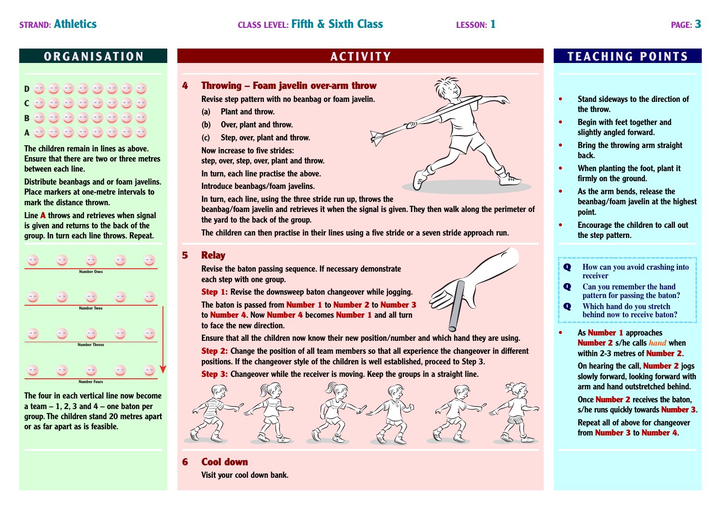### **D C B A**

**The children remain in lines as above. Ensure that there are two or three metres between each line.**

**Distribute beanbags and or foam javelins. Place markers at one-metre intervals to mark the distance thrown.**

**Line A throws and retrieves when signal is given and returns to the back of the group. In turn each line throws. Repeat.**



**The four in each vertical line now become a team – 1, 2, 3 and 4 – one baton per group. The children stand 20 metres apart or as far apart as is feasible.**

**4 Throwing – Foam javelin over-arm throw**

**Revise step pattern with no beanbag or foam javelin.**

- **(a) Plant and throw.**
- **(b) Over, plant and throw.**
- **(c) Step, over, plant and throw.**

**Now increase to five strides:** 

**step, over, step, over, plant and throw.**

**In turn, each line practise the above.**

**Introduce beanbags/foam javelins.**

**In turn, each line, using the three stride run up, throws the**

**beanbag/foam javelin and retrieves it when the signal is given. They then walk along the perimeter of the yard to the back of the group.**

**The children can then practise in their lines using a five stride or a seven stride approach run.**

### **5 Relay**

**Revise the baton passing sequence. If necessary demonstrate each step with one group.**

**Step 1: Revise the downsweep baton changeover while jogging.**

**The baton is passed from Number 1 to Number 2 to Number 3 to Number 4. Now Number 4 becomes Number 1 and all turn to face the new direction.**

**Ensure that all the children now know their new position/number and which hand they are using. Step 2: Change the position of all team members so that all experience the changeover in different positions. If the changeover style of the children is well established, proceed to Step 3.**

**Step 3: Changeover while the receiver is moving. Keep the groups in a straight line.**



**6 Cool down Visit your cool down bank.**



### **ORGANISATION ACTIVITY TEACHING POINTS**

- **• Stand sideways to the direction of the throw.**
- **• Begin with feet together and slightly angled forward.**
- **• Bring the throwing arm straight back.**
- **• When planting the foot, plant it firmly on the ground.**
- **• As the arm bends, release the beanbag/foam javelin at the highest point.**
- **• Encourage the children to call out the step pattern.**

**Q How can you avoid crashing into receiver**

- **Q Can you remember the hand pattern for passing the baton?**
- **Q Which hand do you stretch behind now to receive baton?**
- **• As Number 1 approaches Number 2 s/he calls** *hand* **when within 2-3 metres of Number 2.**

**On hearing the call, Number 2 jogs slowly forward, looking forward with arm and hand outstretched behind.**

**Once Number 2 receives the baton, s/he runs quickly towards Number 3.**

**Repeat all of above for changeover from Number 3 to Number 4.**